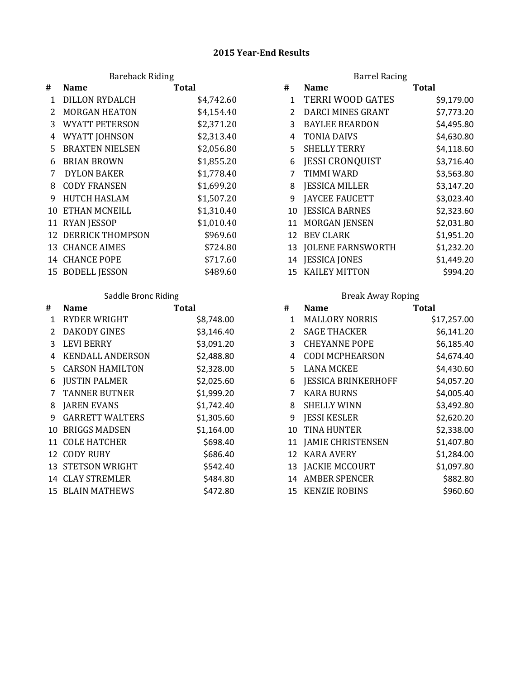### **2015 Year-End Results**

## Bareback Riding

| #  | <b>Name</b>                | <b>Total</b> | #            | <b>Name</b>             | <b>Total</b> |
|----|----------------------------|--------------|--------------|-------------------------|--------------|
| 1  | <b>DILLON RYDALCH</b>      | \$4,742.60   | $\mathbf{1}$ | <b>TERRI WOOD GATES</b> | \$9,179.00   |
| 2  | <b>MORGAN HEATON</b>       | \$4,154.40   |              | DARCI MINES GRANT       | \$7,773.20   |
| 3  | <b>WYATT PETERSON</b>      | \$2,371.20   | 3            | <b>BAYLEE BEARDON</b>   | \$4,495.80   |
| 4  | WYATT JOHNSON              | \$2,313.40   | 4            | TONIA DAIVS             | \$4,630.80   |
| 5. | <b>BRAXTEN NIELSEN</b>     | \$2,056.80   | 5.           | <b>SHELLY TERRY</b>     | \$4,118.60   |
| 6  | <b>BRIAN BROWN</b>         | \$1,855.20   | 6            | <b>JESSI CRONQUIST</b>  | \$3,716.40   |
| 7  | <b>DYLON BAKER</b>         | \$1,778.40   |              | TIMMI WARD              | \$3,563.80   |
| 8  | <b>CODY FRANSEN</b>        | \$1,699.20   | 8            | <b>JESSICA MILLER</b>   | \$3,147.20   |
| 9  | <b>HUTCH HASLAM</b>        | \$1,507.20   | 9            | <b>JAYCEE FAUCETT</b>   | \$3,023.40   |
|    | <b>10 ETHAN MCNEILL</b>    | \$1,310.40   |              | 10 JESSICA BARNES       | \$2,323.60   |
|    | 11 RYAN JESSOP             | \$1,010.40   |              | 11 MORGAN JENSEN        | \$2,031.80   |
|    | <b>12 DERRICK THOMPSON</b> | \$969.60     | 12           | <b>BEV CLARK</b>        | \$1,951.20   |
|    | <b>13 CHANCE AIMES</b>     | \$724.80     |              | 13 JOLENE FARNSWORTH    | \$1,232.20   |
|    | <b>14 CHANCE POPE</b>      | \$717.60     |              | 14 JESSICA JONES        | \$1,449.20   |
|    | 15 BODELL JESSON           | \$489.60     |              | 15 KAILEY MITTON        | \$994.20     |

## Saddle Bronc Riding

| # | <b>Name</b>              | <b>Total</b> | #            | <b>Name</b>                | <b>Total</b> |
|---|--------------------------|--------------|--------------|----------------------------|--------------|
| 1 | <b>RYDER WRIGHT</b>      | \$8,748.00   | $\mathbf{1}$ | <b>MALLORY NORRIS</b>      | \$17,257.00  |
| 2 | <b>DAKODY GINES</b>      | \$3,146.40   |              | <b>SAGE THACKER</b>        | \$6,141.20   |
| 3 | <b>LEVI BERRY</b>        | \$3,091.20   | 3            | <b>CHEYANNE POPE</b>       | \$6,185.40   |
| 4 | <b>KENDALL ANDERSON</b>  | \$2,488.80   |              | <b>CODI MCPHEARSON</b>     | \$4,674.40   |
|   | 5 CARSON HAMILTON        | \$2,328.00   | 5.           | <b>LANA MCKEE</b>          | \$4,430.60   |
| 6 | <b>JUSTIN PALMER</b>     | \$2,025.60   | 6            | <b>JESSICA BRINKERHOFF</b> | \$4,057.20   |
|   | <b>TANNER BUTNER</b>     | \$1,999.20   |              | <b>KARA BURNS</b>          | \$4,005.40   |
| 8 | <b>JAREN EVANS</b>       | \$1,742.40   | 8            | <b>SHELLY WINN</b>         | \$3,492.80   |
| 9 | <b>GARRETT WALTERS</b>   | \$1,305.60   | 9            | <b>JESSI KESLER</b>        | \$2,620.20   |
|   | 10 BRIGGS MADSEN         | \$1,164.00   | 10           | TINA HUNTER                | \$2,338.00   |
|   | 11 COLE HATCHER          | \$698.40     |              | 11 JAMIE CHRISTENSEN       | \$1,407.80   |
|   | 12 CODY RUBY             | \$686.40     |              | 12 KARA AVERY              | \$1,284.00   |
|   | <b>13 STETSON WRIGHT</b> | \$542.40     |              | 13 JACKIE MCCOURT          | \$1,097.80   |
|   | <b>14 CLAY STREMLER</b>  | \$484.80     | 14           | <b>AMBER SPENCER</b>       | \$882.80     |
|   | <b>15 BLAIN MATHEWS</b>  | \$472.80     |              | 15 KENZIE ROBINS           | \$960.60     |

|                | <b>Barrel Racing</b>     |            |
|----------------|--------------------------|------------|
| #              | <b>Name</b>              | Total      |
| 1              | <b>TERRI WOOD GATES</b>  | \$9,179.00 |
| $\overline{2}$ | DARCI MINES GRANT        | \$7,773.20 |
| 3              | <b>BAYLEE BEARDON</b>    | \$4,495.80 |
| 4              | <b>TONIA DAIVS</b>       | \$4,630.80 |
| 5              | <b>SHELLY TERRY</b>      | \$4,118.60 |
| 6              | <b>JESSI CRONQUIST</b>   | \$3,716.40 |
| 7              | <b>TIMMI WARD</b>        | \$3,563.80 |
| 8              | <b>JESSICA MILLER</b>    | \$3,147.20 |
| 9              | <b>JAYCEE FAUCETT</b>    | \$3,023.40 |
| 10             | <b>JESSICA BARNES</b>    | \$2,323.60 |
| 11             | <b>MORGAN JENSEN</b>     | \$2,031.80 |
| 12             | <b>BEV CLARK</b>         | \$1,951.20 |
| 13             | <b>JOLENE FARNSWORTH</b> | \$1,232.20 |
| 14             | <b>JESSICA JONES</b>     | \$1,449.20 |
| 15             | <b>KAILEY MITTON</b>     | \$994.20   |

## Break Away Roping

|              | <b>Name</b>             | <b>Total</b> | #              | <b>Name</b>                | <b>Total</b> |
|--------------|-------------------------|--------------|----------------|----------------------------|--------------|
| 1            | <b>RYDER WRIGHT</b>     | \$8,748.00   | 1              | <b>MALLORY NORRIS</b>      | \$17,257.00  |
| $\mathbf{2}$ | <b>DAKODY GINES</b>     | \$3,146.40   | $\overline{2}$ | <b>SAGE THACKER</b>        | \$6,141.20   |
| 3            | LEVI BERRY              | \$3,091.20   | 3              | <b>CHEYANNE POPE</b>       | \$6,185.40   |
| 4            | <b>KENDALL ANDERSON</b> | \$2,488.80   | 4              | <b>CODI MCPHEARSON</b>     | \$4,674.40   |
|              | 5 CARSON HAMILTON       | \$2,328.00   | 5              | LANA MCKEE                 | \$4,430.60   |
|              | 6 JUSTIN PALMER         | \$2,025.60   | 6              | <b>JESSICA BRINKERHOFF</b> | \$4,057.20   |
|              | 7 TANNER BUTNER         | \$1,999.20   |                | <b>KARA BURNS</b>          | \$4,005.40   |
|              | 8 JAREN EVANS           | \$1,742.40   | 8              | <b>SHELLY WINN</b>         | \$3,492.80   |
| 9            | <b>GARRETT WALTERS</b>  | \$1,305.60   | 9              | <b>JESSI KESLER</b>        | \$2,620.20   |
|              | 10 BRIGGS MADSEN        | \$1,164.00   | 10             | <b>TINA HUNTER</b>         | \$2,338.00   |
|              | 11 COLE HATCHER         | \$698.40     | 11             | <b>JAMIE CHRISTENSEN</b>   | \$1,407.80   |
|              | 12 CODY RUBY            | \$686.40     | 12             | KARA AVERY                 | \$1,284.00   |
|              | 13 STETSON WRIGHT       | \$542.40     | 13             | <b>JACKIE MCCOURT</b>      | \$1,097.80   |
|              | <b>14 CLAY STREMLER</b> | \$484.80     | 14             | <b>AMBER SPENCER</b>       | \$882.80     |
|              | <b>15 BLAIN MATHEWS</b> | \$472.80     | 15             | <b>KENZIE ROBINS</b>       | \$960.60     |
|              |                         |              |                |                            |              |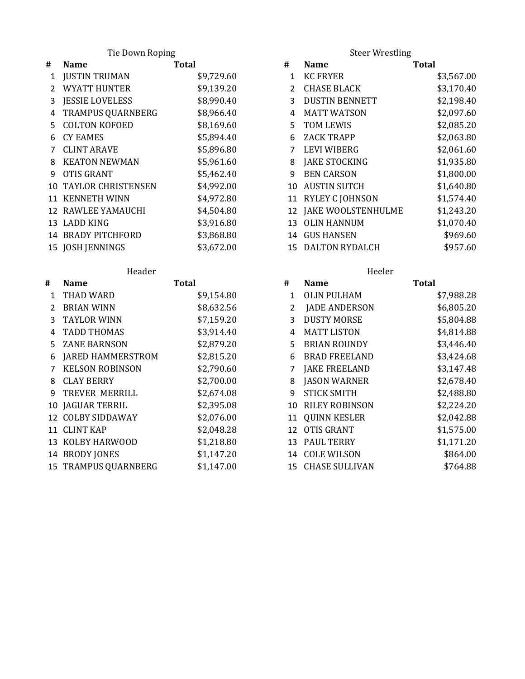Tie Down Roping

| #             | <b>Name</b>                  | <b>Total</b> | #            | <b>Name</b>           | <b>Total</b> |
|---------------|------------------------------|--------------|--------------|-----------------------|--------------|
| $\mathbf{1}$  | <b>JUSTIN TRUMAN</b>         | \$9,729.60   | $\mathbf{1}$ | <b>KC FRYER</b>       | \$3,567.00   |
| $\mathcal{L}$ | <b>WYATT HUNTER</b>          | \$9,139.20   | $2^{\circ}$  | <b>CHASE BLACK</b>    | \$3,170.40   |
| 3             | <b>JESSIE LOVELESS</b>       | \$8,990.40   |              | <b>DUSTIN BENNETT</b> | \$2,198.40   |
| 4             | TRAMPUS QUARNBERG            | \$8,966.40   | 4            | <b>MATT WATSON</b>    | \$2,097.60   |
|               | 5 COLTON KOFOED              | \$8,169.60   | 5.           | TOM LEWIS             | \$2,085.20   |
| 6             | <b>CY EAMES</b>              | \$5,894.40   | 6            | <b>ZACK TRAPP</b>     | \$2,063.80   |
|               | <b>CLINT ARAVE</b>           | \$5,896.80   |              | <b>LEVI WIBERG</b>    | \$2,061.60   |
| 8             | <b>KEATON NEWMAN</b>         | \$5,961.60   | 8            | <b>JAKE STOCKING</b>  | \$1,935.80   |
| 9             | OTIS GRANT                   | \$5,462.40   | 9            | <b>BEN CARSON</b>     | \$1,800.00   |
|               | <b>10 TAYLOR CHRISTENSEN</b> | \$4,992.00   |              | 10 AUSTIN SUTCH       | \$1,640.80   |
|               | 11 KENNETH WINN              | \$4,972.80   |              | 11 RYLEY C JOHNSON    | \$1,574.40   |
|               | 12 RAWLEE YAMAUCHI           | \$4,504.80   |              | 12 JAKE WOOLSTENHULME | \$1,243.20   |
|               | 13 LADD KING                 | \$3,916.80   |              | 13 OLIN HANNUM        | \$1,070.40   |
|               | 14 BRADY PITCHFORD           | \$3,868.80   |              | 14 GUS HANSEN         | \$969.60     |
|               | 15 JOSH JENNINGS             | \$3,672.00   |              | 15 DALTON RYDALCH     | \$957.60     |

|               | neauer                      |              |                | neelel                   |       |
|---------------|-----------------------------|--------------|----------------|--------------------------|-------|
| #             | <b>Name</b>                 | <b>Total</b> | #              | <b>Name</b>              | Total |
| 1             | THAD WARD                   | \$9,154.80   | $\mathbf{1}$   | OLIN PULHAM              |       |
| $\mathcal{P}$ | <b>BRIAN WINN</b>           | \$8,632.56   | $\overline{2}$ | <b>JADE ANDERSON</b>     |       |
| 3             | <b>TAYLOR WINN</b>          | \$7,159.20   | 3              | <b>DUSTY MORSE</b>       |       |
| 4             | <b>TADD THOMAS</b>          | \$3,914.40   | 4              | <b>MATT LISTON</b>       |       |
| 5.            | ZANE BARNSON                | \$2,879.20   | 5.             | <b>BRIAN ROUNDY</b>      |       |
| 6             | <b>JARED HAMMERSTROM</b>    | \$2,815.20   | 6              | <b>BRAD FREELAND</b>     |       |
|               | <b>KELSON ROBINSON</b>      | \$2,790.60   | 7              | <b>JAKE FREELAND</b>     |       |
| 8             | <b>CLAY BERRY</b>           | \$2,700.00   | 8              | <b>JASON WARNER</b>      |       |
| 9             | TREVER MERRILL              | \$2,674.08   | 9              | <b>STICK SMITH</b>       |       |
|               | 10 JAGUAR TERRIL            | \$2,395.08   | 10             | RILEY ROBINSON           |       |
|               | 12 COLBY SIDDAWAY           | \$2,076.00   |                | 11 QUINN KESLER          |       |
|               | 11 CLINT KAP                | \$2,048.28   |                | 12 OTIS GRANT            |       |
|               | 13 KOLBY HARWOOD            | \$1,218.80   |                | 13 PAUL TERRY            |       |
|               | 14 BRODY JONES              | \$1,147.20   |                | 14 COLE WILSON           |       |
|               | <b>15 TRAMPUS QUARNBERG</b> | \$1,147.00   |                | <b>15 CHASE SULLIVAN</b> |       |

Steer Wrestling

|                | <b>Name</b>                  | <b>Total</b> | #  | <b>Name</b>           | <b>Total</b> |
|----------------|------------------------------|--------------|----|-----------------------|--------------|
| 1              | <b>JUSTIN TRUMAN</b>         | \$9,729.60   | 1  | <b>KC FRYER</b>       | \$3,567.00   |
| $\overline{2}$ | <b>WYATT HUNTER</b>          | \$9,139.20   | 2  | <b>CHASE BLACK</b>    | \$3,170.40   |
| 3              | <b>JESSIE LOVELESS</b>       | \$8,990.40   | 3  | <b>DUSTIN BENNETT</b> | \$2,198.40   |
|                | 4 TRAMPUS QUARNBERG          | \$8,966.40   | 4  | <b>MATT WATSON</b>    | \$2,097.60   |
|                | 5 COLTON KOFOED              | \$8,169.60   | 5. | TOM LEWIS             | \$2,085.20   |
|                | 6 CY EAMES                   | \$5,894.40   | 6  | <b>ZACK TRAPP</b>     | \$2,063.80   |
|                | 7 CLINT ARAVE                | \$5,896.80   |    | <b>LEVI WIBERG</b>    | \$2,061.60   |
|                | 8 KEATON NEWMAN              | \$5,961.60   | 8  | <b>JAKE STOCKING</b>  | \$1,935.80   |
|                | 9 OTIS GRANT                 | \$5,462.40   | 9  | <b>BEN CARSON</b>     | \$1,800.00   |
|                | <b>10 TAYLOR CHRISTENSEN</b> | \$4,992.00   | 10 | <b>AUSTIN SUTCH</b>   | \$1,640.80   |
|                | 11 KENNETH WINN              | \$4,972.80   |    | 11 RYLEY C JOHNSON    | \$1,574.40   |
|                | 12 RAWLEE YAMAUCHI           | \$4,504.80   | 12 | JAKE WOOLSTENHULME    | \$1,243.20   |
|                | 13 LADD KING                 | \$3,916.80   | 13 | <b>OLIN HANNUM</b>    | \$1,070.40   |
|                | 14 BRADY PITCHFORD           | \$3,868.80   |    | 14 GUS HANSEN         | \$969.60     |
|                | 15 JOSH JENNINGS             | \$3,672.00   | 15 | <b>DALTON RYDALCH</b> | \$957.60     |

| Header       |                          |              | Heeler |                       |            |
|--------------|--------------------------|--------------|--------|-----------------------|------------|
|              | <b>Name</b>              | <b>Total</b> | #      | <b>Name</b>           | Total      |
| 1            | THAD WARD                | \$9,154.80   | 1      | <b>OLIN PULHAM</b>    | \$7,988.28 |
| $\mathbf{2}$ | <b>BRIAN WINN</b>        | \$8,632.56   | 2      | <b>JADE ANDERSON</b>  | \$6,805.20 |
| 3            | <b>TAYLOR WINN</b>       | \$7,159.20   | 3      | <b>DUSTY MORSE</b>    | \$5,804.88 |
| 4            | <b>TADD THOMAS</b>       | \$3,914.40   | 4      | <b>MATT LISTON</b>    | \$4,814.88 |
| 5.           | <b>ZANE BARNSON</b>      | \$2,879.20   | 5      | <b>BRIAN ROUNDY</b>   | \$3,446.40 |
| 6            | <b>JARED HAMMERSTROM</b> | \$2,815.20   | 6      | <b>BRAD FREELAND</b>  | \$3,424.68 |
| 7            | <b>KELSON ROBINSON</b>   | \$2,790.60   | 7      | <b>JAKE FREELAND</b>  | \$3,147.48 |
| 8            | <b>CLAY BERRY</b>        | \$2,700.00   | 8      | <b>JASON WARNER</b>   | \$2,678.40 |
| 9            | TREVER MERRILL           | \$2,674.08   | 9      | <b>STICK SMITH</b>    | \$2,488.80 |
|              | 10 JAGUAR TERRIL         | \$2,395.08   | 10     | <b>RILEY ROBINSON</b> | \$2,224.20 |
|              | 12 COLBY SIDDAWAY        | \$2,076.00   | 11     | <b>QUINN KESLER</b>   | \$2,042.88 |
|              | 11  CLINT KAP            | \$2,048.28   | 12     | <b>OTIS GRANT</b>     | \$1,575.00 |
|              | 13 KOLBY HARWOOD         | \$1,218.80   | 13     | <b>PAUL TERRY</b>     | \$1,171.20 |
|              | 14 BRODY JONES           | \$1,147.20   | 14     | <b>COLE WILSON</b>    | \$864.00   |
|              | 15 TRAMPUS QUARNBERG     | \$1,147.00   | 15     | <b>CHASE SULLIVAN</b> | \$764.88   |